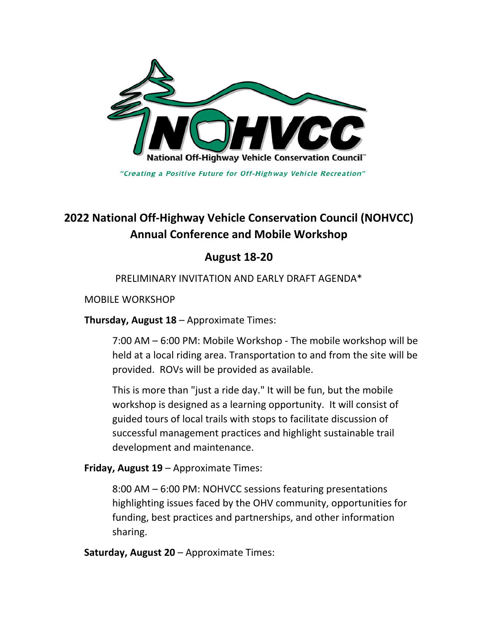

"Creating a Positive Future for Off-Highway Vehicle Recreation"

# **2022 National Off-Highway Vehicle Conservation Council (NOHVCC) Annual Conference and Mobile Workshop**

## **August 18-20**

### PRELIMINARY INVITATION AND EARLY DRAFT AGENDA\*

#### MOBILE WORKSHOP

**Thursday, August 18** – Approximate Times:

7:00 AM – 6:00 PM: Mobile Workshop - The mobile workshop will be held at a local riding area. Transportation to and from the site will be provided. ROVs will be provided as available.

This is more than "just a ride day." It will be fun, but the mobile workshop is designed as a learning opportunity. It will consist of guided tours of local trails with stops to facilitate discussion of successful management practices and highlight sustainable trail development and maintenance.

**Friday, August 19** – Approximate Times:

8:00 AM – 6:00 PM: NOHVCC sessions featuring presentations highlighting issues faced by the OHV community, opportunities for funding, best practices and partnerships, and other information sharing.

**Saturday, August 20** – Approximate Times: